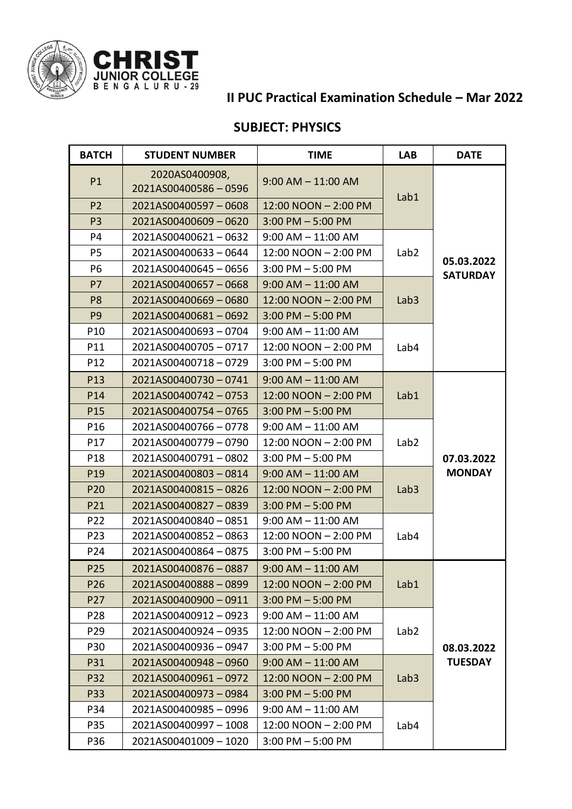

## **II PUC Practical Examination Schedule – Mar 2022**

## **SUBJECT: PHYSICS**

| <b>BATCH</b>    | <b>STUDENT NUMBER</b>                 | <b>TIME</b>            | <b>LAB</b>       | <b>DATE</b>                   |
|-----------------|---------------------------------------|------------------------|------------------|-------------------------------|
| P1              | 2020AS0400908,<br>2021AS00400586-0596 | $9:00$ AM $-$ 11:00 AM | Lab1             | 05.03.2022<br><b>SATURDAY</b> |
| P <sub>2</sub>  | 2021AS00400597-0608                   | 12:00 NOON - 2:00 PM   |                  |                               |
| P <sub>3</sub>  | 2021AS00400609-0620                   | $3:00$ PM $-5:00$ PM   |                  |                               |
| P4              | 2021AS00400621-0632                   | $9:00$ AM $- 11:00$ AM | Lab <sub>2</sub> |                               |
| P <sub>5</sub>  | 2021AS00400633-0644                   | 12:00 NOON - 2:00 PM   |                  |                               |
| P <sub>6</sub>  | 2021AS00400645-0656                   | $3:00$ PM $-5:00$ PM   |                  |                               |
| <b>P7</b>       | 2021AS00400657-0668                   | $9:00$ AM $-$ 11:00 AM | Lab <sub>3</sub> |                               |
| P <sub>8</sub>  | 2021AS00400669-0680                   | 12:00 NOON - 2:00 PM   |                  |                               |
| P <sub>9</sub>  | 2021AS00400681-0692                   | $3:00$ PM $-5:00$ PM   |                  |                               |
| P <sub>10</sub> | 2021AS00400693-0704                   | $9:00$ AM $-11:00$ AM  | Lab4             |                               |
| P11             | 2021AS00400705-0717                   | 12:00 NOON - 2:00 PM   |                  |                               |
| P12             | 2021AS00400718-0729                   | $3:00$ PM $-5:00$ PM   |                  |                               |
| P13             | 2021AS00400730-0741                   | $9:00$ AM $- 11:00$ AM |                  | 07.03.2022<br><b>MONDAY</b>   |
| P14             | 2021AS00400742-0753                   | 12:00 NOON - 2:00 PM   | Lab1             |                               |
| P15             | 2021AS00400754-0765                   | $3:00$ PM $-5:00$ PM   |                  |                               |
| P16             | 2021AS00400766-0778                   | $9:00$ AM $- 11:00$ AM | Lab <sub>2</sub> |                               |
| P17             | 2021AS00400779-0790                   | 12:00 NOON - 2:00 PM   |                  |                               |
| P18             | 2021AS00400791-0802                   | $3:00$ PM $-5:00$ PM   |                  |                               |
| P <sub>19</sub> | 2021AS00400803-0814                   | $9:00$ AM $- 11:00$ AM | Lab <sub>3</sub> |                               |
| P20             | 2021AS00400815-0826                   | 12:00 NOON - 2:00 PM   |                  |                               |
| P21             | 2021AS00400827-0839                   | $3:00$ PM $-5:00$ PM   |                  |                               |
| P22             | 2021AS00400840-0851                   | $9:00$ AM $-11:00$ AM  | Lab4             |                               |
| P23             | 2021AS00400852-0863                   | 12:00 NOON - 2:00 PM   |                  |                               |
| P24             | 2021AS00400864-0875                   | $3:00$ PM $-5:00$ PM   |                  |                               |
| P25             | 2021AS00400876-0887                   | $9:00$ AM $-$ 11:00 AM | Lab1             | 08.03.2022<br><b>TUESDAY</b>  |
| P <sub>26</sub> | 2021AS00400888-0899                   | 12:00 NOON - 2:00 PM   |                  |                               |
| P27             | 2021AS00400900-0911                   | $3:00$ PM $-5:00$ PM   |                  |                               |
| P28             | 2021AS00400912-0923                   | $9:00$ AM $-$ 11:00 AM | Lab <sub>2</sub> |                               |
| P29             | 2021AS00400924-0935                   | 12:00 NOON - 2:00 PM   |                  |                               |
| P30             | 2021AS00400936-0947                   | $3:00$ PM $-5:00$ PM   |                  |                               |
| P31             | 2021AS00400948-0960                   | $9:00$ AM $- 11:00$ AM | Lab <sub>3</sub> |                               |
| P32             | 2021AS00400961-0972                   | 12:00 NOON - 2:00 PM   |                  |                               |
| <b>P33</b>      | 2021AS00400973-0984                   | $3:00$ PM $-5:00$ PM   |                  |                               |
| P34             | 2021AS00400985 - 0996                 | $9:00$ AM $-11:00$ AM  | Lab4             |                               |
| P35             | 2021AS00400997-1008                   | 12:00 NOON - 2:00 PM   |                  |                               |
| P36             | 2021AS00401009 - 1020                 | $3:00$ PM $-5:00$ PM   |                  |                               |